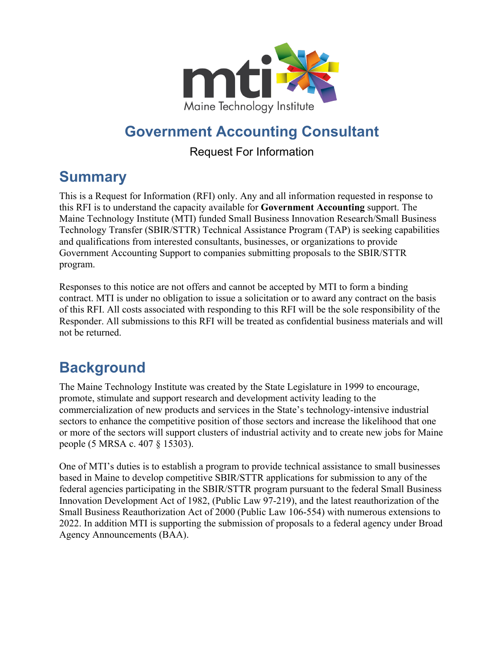

## **Government Accounting Consultant**

#### Request For Information

## **Summary**

This is a Request for Information (RFI) only. Any and all information requested in response to this RFI is to understand the capacity available for **Government Accounting** support. The Maine Technology Institute (MTI) funded Small Business Innovation Research/Small Business Technology Transfer (SBIR/STTR) Technical Assistance Program (TAP) is seeking capabilities and qualifications from interested consultants, businesses, or organizations to provide Government Accounting Support to companies submitting proposals to the SBIR/STTR program.

Responses to this notice are not offers and cannot be accepted by MTI to form a binding contract. MTI is under no obligation to issue a solicitation or to award any contract on the basis of this RFI. All costs associated with responding to this RFI will be the sole responsibility of the Responder. All submissions to this RFI will be treated as confidential business materials and will not be returned.

# **Background**

The Maine Technology Institute was created by the State Legislature in 1999 to encourage, promote, stimulate and support research and development activity leading to the commercialization of new products and services in the State's technology-intensive industrial sectors to enhance the competitive position of those sectors and increase the likelihood that one or more of the sectors will support clusters of industrial activity and to create new jobs for Maine people (5 MRSA c. 407 § 15303).

One of MTI's duties is to establish a program to provide technical assistance to small businesses based in Maine to develop competitive SBIR/STTR applications for submission to any of the federal agencies participating in the SBIR/STTR program pursuant to the federal Small Business Innovation Development Act of 1982, (Public Law 97-219), and the latest reauthorization of the Small Business Reauthorization Act of 2000 (Public Law 106-554) with numerous extensions to 2022. In addition MTI is supporting the submission of proposals to a federal agency under Broad Agency Announcements (BAA).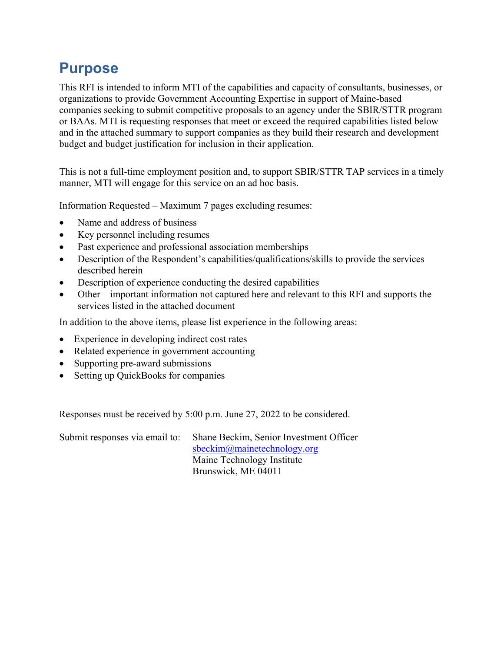#### **Purpose**

This RFI is intended to inform MTI of the capabilities and capacity of consultants, businesses, or organizations to provide Government Accounting Expertise in support of Maine-based companies seeking to submit competitive proposals to an agency under the SBIR/STTR program or BAAs. MTI is requesting responses that meet or exceed the required capabilities listed below and in the attached summary to support companies as they build their research and development budget and budget justification for inclusion in their application.

This is not a full-time employment position and, to support SBIR/STTR TAP services in a timely manner, MTI will engage for this service on an ad hoc basis.

Information Requested – Maximum 7 pages excluding resumes:

- Name and address of business
- Key personnel including resumes
- Past experience and professional association memberships
- Description of the Respondent's capabilities/qualifications/skills to provide the services described herein
- Description of experience conducting the desired capabilities
- Other important information not captured here and relevant to this RFI and supports the services listed in the attached document

In addition to the above items, please list experience in the following areas:

- Experience in developing indirect cost rates
- Related experience in government accounting
- Supporting pre-award submissions
- Setting up QuickBooks for companies

Responses must be received by 5:00 p.m. June 27, 2022 to be considered.

| Submit responses via email to: | Shane Beckim, Senior Investment Officer |
|--------------------------------|-----------------------------------------|
|                                | sbeckim@mainetechnology.org             |
|                                | Maine Technology Institute              |
|                                | Brunswick, ME 04011                     |